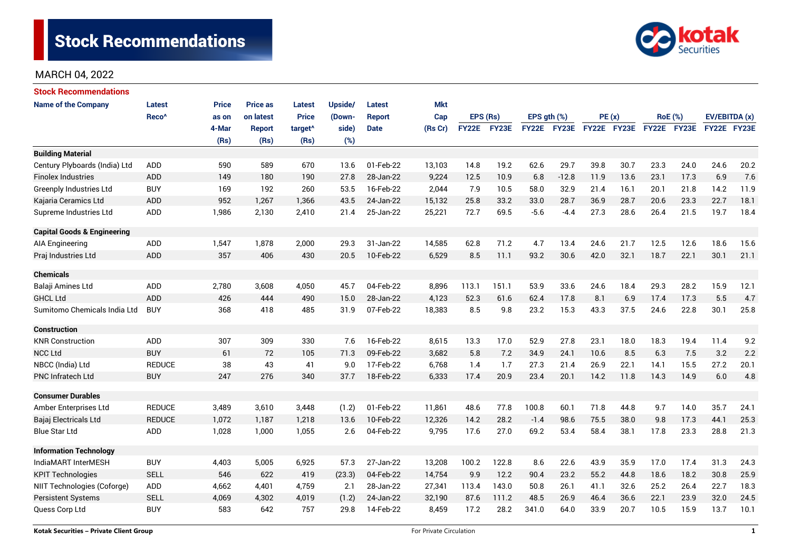

| <b>Stock Recommendations</b>           |                   |       |                 |                     |         |             |            |              |       |                  |             |             |      |                |      |               |      |
|----------------------------------------|-------------------|-------|-----------------|---------------------|---------|-------------|------------|--------------|-------|------------------|-------------|-------------|------|----------------|------|---------------|------|
| <b>Name of the Company</b>             | <b>Latest</b>     | Price | <b>Price as</b> | <b>Latest</b>       | Upside/ | Latest      | <b>Mkt</b> |              |       |                  |             |             |      |                |      |               |      |
|                                        | Reco <sup>^</sup> | as on | on latest       | <b>Price</b>        | (Down-  | Report      | Cap        | EPS (Rs)     |       | EPS $gth$ $(\%)$ |             | PE(x)       |      | <b>RoE</b> (%) |      | EV/EBITDA (x) |      |
|                                        |                   | 4-Mar | <b>Report</b>   | target <sup>^</sup> | side)   | <b>Date</b> | (Rs Cr)    | <b>FY22E</b> | FY23E |                  | FY22E FY23E | FY22E FY23E |      | FY22E FY23E    |      | FY22E FY23E   |      |
|                                        |                   | (Rs)  | (Rs)            | (Rs)                | (%)     |             |            |              |       |                  |             |             |      |                |      |               |      |
| <b>Building Material</b>               |                   |       |                 |                     |         |             |            |              |       |                  |             |             |      |                |      |               |      |
| Century Plyboards (India) Ltd          | <b>ADD</b>        | 590   | 589             | 670                 | 13.6    | 01-Feb-22   | 13,103     | 14.8         | 19.2  | 62.6             | 29.7        | 39.8        | 30.7 | 23.3           | 24.0 | 24.6          | 20.2 |
| <b>Finolex Industries</b>              | <b>ADD</b>        | 149   | 180             | 190                 | 27.8    | 28-Jan-22   | 9,224      | 12.5         | 10.9  | 6.8              | $-12.8$     | 11.9        | 13.6 | 23.1           | 17.3 | 6.9           | 7.6  |
| <b>Greenply Industries Ltd</b>         | <b>BUY</b>        | 169   | 192             | 260                 | 53.5    | 16-Feb-22   | 2,044      | 7.9          | 10.5  | 58.0             | 32.9        | 21.4        | 16.1 | 20.1           | 21.8 | 14.2          | 11.9 |
| Kajaria Ceramics Ltd                   | <b>ADD</b>        | 952   | 1,267           | 1,366               | 43.5    | 24-Jan-22   | 15,132     | 25.8         | 33.2  | 33.0             | 28.7        | 36.9        | 28.7 | 20.6           | 23.3 | 22.7          | 18.1 |
| Supreme Industries Ltd                 | ADD               | 1,986 | 2,130           | 2,410               | 21.4    | 25-Jan-22   | 25,221     | 72.7         | 69.5  | $-5.6$           | $-4.4$      | 27.3        | 28.6 | 26.4           | 21.5 | 19.7          | 18.4 |
| <b>Capital Goods &amp; Engineering</b> |                   |       |                 |                     |         |             |            |              |       |                  |             |             |      |                |      |               |      |
| <b>AIA Engineering</b>                 | ADD               | 1,547 | 1,878           | 2,000               | 29.3    | 31-Jan-22   | 14,585     | 62.8         | 71.2  | 4.7              | 13.4        | 24.6        | 21.7 | 12.5           | 12.6 | 18.6          | 15.6 |
| Praj Industries Ltd                    | ADD               | 357   | 406             | 430                 | 20.5    | 10-Feb-22   | 6,529      | 8.5          | 11.1  | 93.2             | 30.6        | 42.0        | 32.1 | 18.7           | 22.1 | 30.1          | 21.1 |
| <b>Chemicals</b>                       |                   |       |                 |                     |         |             |            |              |       |                  |             |             |      |                |      |               |      |
| Balaji Amines Ltd                      | ADD               | 2,780 | 3,608           | 4,050               | 45.7    | 04-Feb-22   | 8,896      | 113.1        | 151.1 | 53.9             | 33.6        | 24.6        | 18.4 | 29.3           | 28.2 | 15.9          | 12.1 |
| <b>GHCL Ltd</b>                        | ADD               | 426   | 444             | 490                 | 15.0    | 28-Jan-22   | 4,123      | 52.3         | 61.6  | 62.4             | 17.8        | 8.1         | 6.9  | 17.4           | 17.3 | 5.5           | 4.7  |
| Sumitomo Chemicals India Ltd           | <b>BUY</b>        | 368   | 418             | 485                 | 31.9    | 07-Feb-22   | 18,383     | 8.5          | 9.8   | 23.2             | 15.3        | 43.3        | 37.5 | 24.6           | 22.8 | 30.1          | 25.8 |
| <b>Construction</b>                    |                   |       |                 |                     |         |             |            |              |       |                  |             |             |      |                |      |               |      |
| <b>KNR Construction</b>                | <b>ADD</b>        | 307   | 309             | 330                 | 7.6     | 16-Feb-22   | 8,615      | 13.3         | 17.0  | 52.9             | 27.8        | 23.1        | 18.0 | 18.3           | 19.4 | 11.4          | 9.2  |
| <b>NCC Ltd</b>                         | <b>BUY</b>        | 61    | 72              | 105                 | 71.3    | 09-Feb-22   | 3,682      | 5.8          | 7.2   | 34.9             | 24.1        | 10.6        | 8.5  | 6.3            | 7.5  | 3.2           | 2.2  |
| NBCC (India) Ltd                       | <b>REDUCE</b>     | 38    | 43              | 41                  | 9.0     | 17-Feb-22   | 6,768      | 1.4          | 1.7   | 27.3             | 21.4        | 26.9        | 22.1 | 14.1           | 15.5 | 27.2          | 20.1 |
| <b>PNC Infratech Ltd</b>               | <b>BUY</b>        | 247   | 276             | 340                 | 37.7    | 18-Feb-22   | 6,333      | 17.4         | 20.9  | 23.4             | 20.1        | 14.2        | 11.8 | 14.3           | 14.9 | 6.0           | 4.8  |
| <b>Consumer Durables</b>               |                   |       |                 |                     |         |             |            |              |       |                  |             |             |      |                |      |               |      |
| Amber Enterprises Ltd                  | <b>REDUCE</b>     | 3,489 | 3,610           | 3,448               | (1.2)   | 01-Feb-22   | 11,861     | 48.6         | 77.8  | 100.8            | 60.1        | 71.8        | 44.8 | 9.7            | 14.0 | 35.7          | 24.1 |
| Bajaj Electricals Ltd                  | <b>REDUCE</b>     | 1,072 | 1,187           | 1,218               | 13.6    | 10-Feb-22   | 12,326     | 14.2         | 28.2  | $-1.4$           | 98.6        | 75.5        | 38.0 | 9.8            | 17.3 | 44.1          | 25.3 |
| <b>Blue Star Ltd</b>                   | ADD               | 1,028 | 1,000           | 1,055               | 2.6     | 04-Feb-22   | 9,795      | 17.6         | 27.0  | 69.2             | 53.4        | 58.4        | 38.1 | 17.8           | 23.3 | 28.8          | 21.3 |
| <b>Information Technology</b>          |                   |       |                 |                     |         |             |            |              |       |                  |             |             |      |                |      |               |      |
| IndiaMART InterMESH                    | <b>BUY</b>        | 4,403 | 5,005           | 6,925               | 57.3    | 27-Jan-22   | 13,208     | 100.2        | 122.8 | 8.6              | 22.6        | 43.9        | 35.9 | 17.0           | 17.4 | 31.3          | 24.3 |
| <b>KPIT Technologies</b>               | <b>SELL</b>       | 546   | 622             | 419                 | (23.3)  | 04-Feb-22   | 14,754     | 9.9          | 12.2  | 90.4             | 23.2        | 55.2        | 44.8 | 18.6           | 18.2 | 30.8<br>25.9  |      |
| NIIT Technologies (Coforge)            | ADD               | 4,662 | 4,401           | 4,759               | 2.1     | 28-Jan-22   | 27,341     | 113.4        | 143.0 | 50.8             | 26.1        | 41.1        | 32.6 | 25.2           | 26.4 | 22.7          | 18.3 |
| <b>Persistent Systems</b>              | <b>SELL</b>       | 4,069 | 4,302           | 4,019               | (1.2)   | 24-Jan-22   | 32,190     | 87.6         | 111.2 | 48.5             | 26.9        | 46.4        | 36.6 | 22.1           | 23.9 | 32.0          | 24.5 |
| Quess Corp Ltd                         | <b>BUY</b>        | 583   | 642             | 757                 | 29.8    | 14-Feb-22   | 8,459      | 17.2         | 28.2  | 341.0            | 64.0        | 33.9        | 20.7 | 10.5           | 15.9 | 13.7          | 10.1 |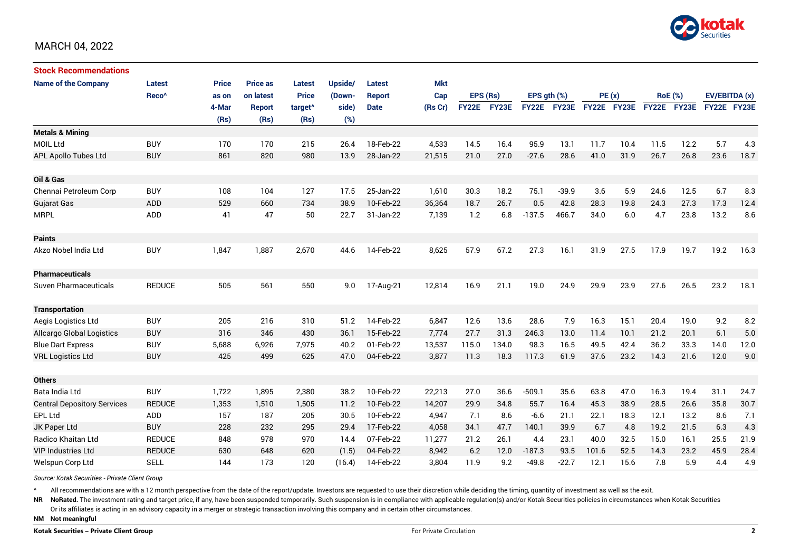

| <b>Stock Recommendations</b>       |                   |              |                 |                     |         |               |         |              |       |                  |             |             |      |                |             |               |      |
|------------------------------------|-------------------|--------------|-----------------|---------------------|---------|---------------|---------|--------------|-------|------------------|-------------|-------------|------|----------------|-------------|---------------|------|
| <b>Name of the Company</b>         | <b>Latest</b>     | <b>Price</b> | <b>Price as</b> | <b>Latest</b>       | Upside/ | Latest        | Mkt     |              |       |                  |             |             |      |                |             |               |      |
|                                    | Reco <sup>^</sup> | as on        | on latest       | <b>Price</b>        | (Down-  | <b>Report</b> | Cap     | EPS (Rs)     |       | EPS $qth$ $(\%)$ |             | PE(x)       |      | <b>RoE</b> (%) |             | EV/EBITDA (x) |      |
|                                    |                   | 4-Mar        | <b>Report</b>   | target <sup>^</sup> | side)   | <b>Date</b>   | (Rs Cr) | <b>FY22E</b> | FY23E |                  | FY22E FY23E | FY22E FY23E |      |                | FY22E FY23E | FY22E FY23E   |      |
|                                    |                   | (Rs)         | (Rs)            | (Rs)                | (%)     |               |         |              |       |                  |             |             |      |                |             |               |      |
| <b>Metals &amp; Mining</b>         |                   |              |                 |                     |         |               |         |              |       |                  |             |             |      |                |             |               |      |
| <b>MOIL Ltd</b>                    | <b>BUY</b>        | 170          | 170             | 215                 | 26.4    | 18-Feb-22     | 4,533   | 14.5         | 16.4  | 95.9             | 13.1        | 11.7        | 10.4 | 11.5           | 12.2        | 5.7           | 4.3  |
| APL Apollo Tubes Ltd               | <b>BUY</b>        | 861          | 820             | 980                 | 13.9    | 28-Jan-22     | 21,515  | 21.0         | 27.0  | $-27.6$          | 28.6        | 41.0        | 31.9 | 26.7           | 26.8        | 23.6          | 18.7 |
|                                    |                   |              |                 |                     |         |               |         |              |       |                  |             |             |      |                |             |               |      |
| Oil & Gas                          |                   |              |                 |                     |         |               |         |              |       |                  |             |             |      |                |             |               |      |
| Chennai Petroleum Corp             | <b>BUY</b>        | 108          | 104             | 127                 | 17.5    | 25-Jan-22     | 1,610   | 30.3         | 18.2  | 75.1             | $-39.9$     | 3.6         | 5.9  | 24.6           | 12.5        | 6.7           | 8.3  |
| <b>Gujarat Gas</b>                 | <b>ADD</b>        | 529          | 660             | 734                 | 38.9    | 10-Feb-22     | 36,364  | 18.7         | 26.7  | 0.5              | 42.8        | 28.3        | 19.8 | 24.3           | 27.3        | 17.3          | 12.4 |
| <b>MRPL</b>                        | <b>ADD</b>        | 41           | 47              | 50                  | 22.7    | 31-Jan-22     | 7,139   | 1.2          | 6.8   | $-137.5$         | 466.7       | 34.0        | 6.0  | 4.7            | 23.8        | 13.2          | 8.6  |
|                                    |                   |              |                 |                     |         |               |         |              |       |                  |             |             |      |                |             |               |      |
| <b>Paints</b>                      |                   |              |                 |                     |         |               |         |              |       |                  |             |             |      |                |             |               |      |
| Akzo Nobel India Ltd               | <b>BUY</b>        | 1,847        | 1,887           | 2,670               | 44.6    | 14-Feb-22     | 8,625   | 57.9         | 67.2  | 27.3             | 16.1        | 31.9        | 27.5 | 17.9           | 19.7        | 19.2          | 16.3 |
|                                    |                   |              |                 |                     |         |               |         |              |       |                  |             |             |      |                |             |               |      |
| <b>Pharmaceuticals</b>             |                   |              |                 |                     |         |               |         |              |       |                  |             |             |      |                |             |               |      |
| <b>Suven Pharmaceuticals</b>       | <b>REDUCE</b>     | 505          | 561             | 550                 | 9.0     | 17-Aug-21     | 12,814  | 16.9         | 21.1  | 19.0             | 24.9        | 29.9        | 23.9 | 27.6           | 26.5        | 23.2          | 18.1 |
|                                    |                   |              |                 |                     |         |               |         |              |       |                  |             |             |      |                |             |               |      |
| <b>Transportation</b>              |                   |              |                 |                     |         |               |         |              |       |                  |             |             |      |                |             |               |      |
| Aegis Logistics Ltd                | <b>BUY</b>        | 205          | 216             | 310                 | 51.2    | 14-Feb-22     | 6,847   | 12.6         | 13.6  | 28.6             | 7.9         | 16.3        | 15.1 | 20.4           | 19.0        | 9.2           | 8.2  |
| Allcargo Global Logistics          | <b>BUY</b>        | 316          | 346             | 430                 | 36.1    | 15-Feb-22     | 7.774   | 27.7         | 31.3  | 246.3            | 13.0        | 11.4        | 10.1 | 21.2           | 20.1        | 6.1           | 5.0  |
| <b>Blue Dart Express</b>           | <b>BUY</b>        | 5,688        | 6,926           | 7,975               | 40.2    | 01-Feb-22     | 13,537  | 115.0        | 134.0 | 98.3             | 16.5        | 49.5        | 42.4 | 36.2           | 33.3        | 14.0          | 12.0 |
| <b>VRL Logistics Ltd</b>           | <b>BUY</b>        | 425          | 499             | 625                 | 47.0    | 04-Feb-22     | 3,877   | 11.3         | 18.3  | 117.3            | 61.9        | 37.6        | 23.2 | 14.3           | 21.6        | 12.0          | 9.0  |
|                                    |                   |              |                 |                     |         |               |         |              |       |                  |             |             |      |                |             |               |      |
| <b>Others</b>                      |                   |              |                 |                     |         |               |         |              |       |                  |             |             |      |                |             |               |      |
| Bata India Ltd                     | <b>BUY</b>        | 1,722        | 1,895           | 2,380               | 38.2    | 10-Feb-22     | 22,213  | 27.0         | 36.6  | $-509.1$         | 35.6        | 63.8        | 47.0 | 16.3           | 19.4        | 31.1          | 24.7 |
| <b>Central Depository Services</b> | <b>REDUCE</b>     | 1,353        | 1,510           | 1,505               | 11.2    | 10-Feb-22     | 14,207  | 29.9         | 34.8  | 55.7             | 16.4        | 45.3        | 38.9 | 28.5           | 26.6        | 35.8          | 30.7 |
| EPL Ltd                            | <b>ADD</b>        | 157          | 187             | 205                 | 30.5    | 10-Feb-22     | 4,947   | 7.1          | 8.6   | $-6.6$           | 21.1        | 22.1        | 18.3 | 12.1           | 13.2        | 8.6           | 7.1  |
| JK Paper Ltd                       | <b>BUY</b>        | 228          | 232             | 295                 | 29.4    | 17-Feb-22     | 4,058   | 34.1         | 47.7  | 140.1            | 39.9        | 6.7         | 4.8  | 19.2           | 21.5        | 6.3           | 4.3  |
| <b>Radico Khaitan Ltd</b>          | <b>REDUCE</b>     | 848          | 978             | 970                 | 14.4    | 07-Feb-22     | 11,277  | 21.2         | 26.1  | 4.4              | 23.1        | 40.0        | 32.5 | 15.0           | 16.1        | 25.5          | 21.9 |
| <b>VIP Industries Ltd</b>          | <b>REDUCE</b>     | 630          | 648             | 620                 | (1.5)   | 04-Feb-22     | 8,942   | 6.2          | 12.0  | $-187.3$         | 93.5        | 101.6       | 52.5 | 14.3           | 23.2        | 45.9          | 28.4 |
| Welspun Corp Ltd                   | <b>SELL</b>       | 144          | 173             | 120                 | (16.4)  | 14-Feb-22     | 3,804   | 11.9         | 9.2   | $-49.8$          | $-22.7$     | 12.1        | 15.6 | 7.8            | 5.9         | 4.4           | 4.9  |

*Source: Kotak Securities - Private Client Group*

All recommendations are with a 12 month perspective from the date of the report/update. Investors are requested to use their discretion while deciding the timing, quantity of investment as well as the exit.

NR NoRated. The investment rating and target price, if any, have been suspended temporarily. Such suspension is in compliance with applicable regulation(s) and/or Kotak Securities policies in circumstances when Kotak Secur

Or its affiliates is acting in an advisory capacity in a merger or strategic transaction involving this company and in certain other circumstances.

**NM Not meaningful**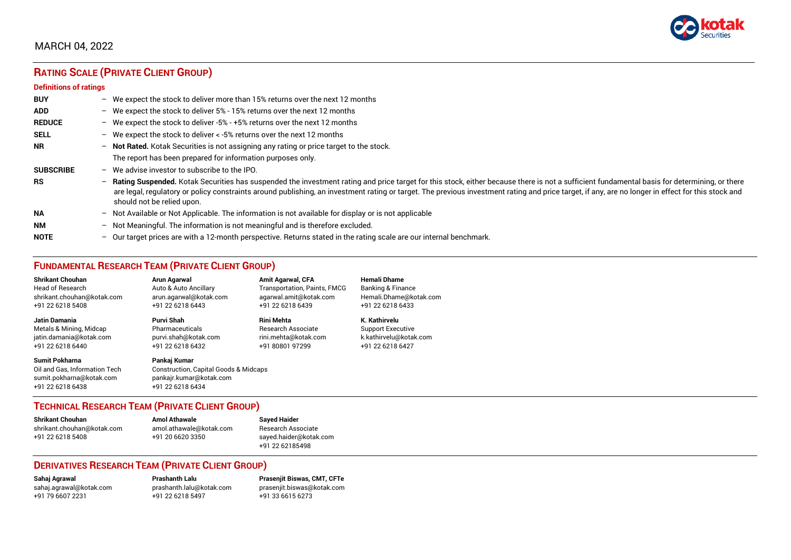

# **RATING SCALE (PRIVATE CLIENT GROUP)**

#### **Definitions of ratings**

| <b>BUY</b>       |                          | - We expect the stock to deliver more than 15% returns over the next 12 months                                                                                                                                                                                                                                                                                                                                                   |
|------------------|--------------------------|----------------------------------------------------------------------------------------------------------------------------------------------------------------------------------------------------------------------------------------------------------------------------------------------------------------------------------------------------------------------------------------------------------------------------------|
| <b>ADD</b>       |                          | - We expect the stock to deliver $5\%$ - 15% returns over the next 12 months                                                                                                                                                                                                                                                                                                                                                     |
| <b>REDUCE</b>    |                          | - We expect the stock to deliver -5% - +5% returns over the next 12 months                                                                                                                                                                                                                                                                                                                                                       |
| <b>SELL</b>      |                          | - We expect the stock to deliver $\lt$ -5% returns over the next 12 months                                                                                                                                                                                                                                                                                                                                                       |
| <b>NR</b>        |                          | - Not Rated. Kotak Securities is not assigning any rating or price target to the stock.                                                                                                                                                                                                                                                                                                                                          |
|                  |                          | The report has been prepared for information purposes only.                                                                                                                                                                                                                                                                                                                                                                      |
| <b>SUBSCRIBE</b> | $-$                      | We advise investor to subscribe to the IPO.                                                                                                                                                                                                                                                                                                                                                                                      |
| <b>RS</b>        | $\overline{\phantom{0}}$ | Rating Suspended. Kotak Securities has suspended the investment rating and price target for this stock, either because there is not a sufficient fundamental basis for determining, or there<br>are legal, regulatory or policy constraints around publishing, an investment rating or target. The previous investment rating and price target, if any, are no longer in effect for this stock and<br>should not be relied upon. |
| <b>NA</b>        |                          | $-$ Not Available or Not Applicable. The information is not available for display or is not applicable                                                                                                                                                                                                                                                                                                                           |
| <b>NM</b>        | $-$                      | Not Meaningful. The information is not meaningful and is therefore excluded.                                                                                                                                                                                                                                                                                                                                                     |
| <b>NOTE</b>      |                          | - Our target prices are with a 12-month perspective. Returns stated in the rating scale are our internal benchmark.                                                                                                                                                                                                                                                                                                              |

# **FUNDAMENTAL RESEARCH TEAM (PRIVATE CLIENT GROUP)**

| <b>Shrikant Chouhan</b>                                                                                | Arun Agarwal                                                                                                    | <b>Amit Agarwal, CFA</b>     | <b>Hemali Dhame</b>      |
|--------------------------------------------------------------------------------------------------------|-----------------------------------------------------------------------------------------------------------------|------------------------------|--------------------------|
| <b>Head of Research</b>                                                                                | Auto & Auto Ancillary                                                                                           | Transportation, Paints, FMCG | Banking & Finance        |
| shrikant.chouhan@kotak.com                                                                             | arun.agarwal@kotak.com                                                                                          | agarwal.amit@kotak.com       | Hemali.Dhame@kotak.com   |
| +91 22 6218 5408                                                                                       | +91 22 6218 6443                                                                                                | +91 22 6218 6439             | +91 22 6218 6433         |
| Jatin Damania                                                                                          | Purvi Shah                                                                                                      | <b>Rini Mehta</b>            | K. Kathirvelu            |
| Metals & Mining, Midcap                                                                                | Pharmaceuticals                                                                                                 | <b>Research Associate</b>    | <b>Support Executive</b> |
| jatin.damania@kotak.com                                                                                | purvi.shah@kotak.com                                                                                            | rini.mehta@kotak.com         | k.kathirvelu@kotak.com   |
| +91 22 6218 6440                                                                                       | +91 22 6218 6432                                                                                                | +91 80801 97299              | +91 22 6218 6427         |
| <b>Sumit Pokharna</b><br>Oil and Gas, Information Tech<br>sumit.pokharna@kotak.com<br>+91 22 6218 6438 | Pankaj Kumar<br><b>Construction, Capital Goods &amp; Midcaps</b><br>pankajr.kumar@kotak.com<br>+91 22 6218 6434 |                              |                          |

#### **TECHNICAL RESEARCH TEAM (PRIVATE CLIENT GROUP)**

| <b>Shrikant Chouhan</b>    | <b>Amol Athawale</b>    |  |
|----------------------------|-------------------------|--|
| shrikant.chouhan@kotak.com | amol.athawale@kotak.com |  |
| +91 22 6218 5408           | +91 20 6620 3350        |  |
|                            |                         |  |

**Sayed Haider** Research Associate [sayed.haider@kotak.com](mailto:sayed.haider@kotak.com) +91 22 62185498

#### **DERIVATIVES RESEARCH TEAM (PRIVATE CLIENT GROUP)**

+91 22 6218 5497 +91 33 6615 6273

**Sahaj Agrawal Prashanth Lalu Prasenjit Biswas, CMT, CFTe** [sahaj.agrawal@kotak.com](mailto:sahaj.agrawal@kotak.com) [prashanth.lalu@kotak.com](mailto:prashanth.lalu@kotak.com) [prasenjit.biswas@kotak.com](mailto:prasenjit.biswas@kotak.com)